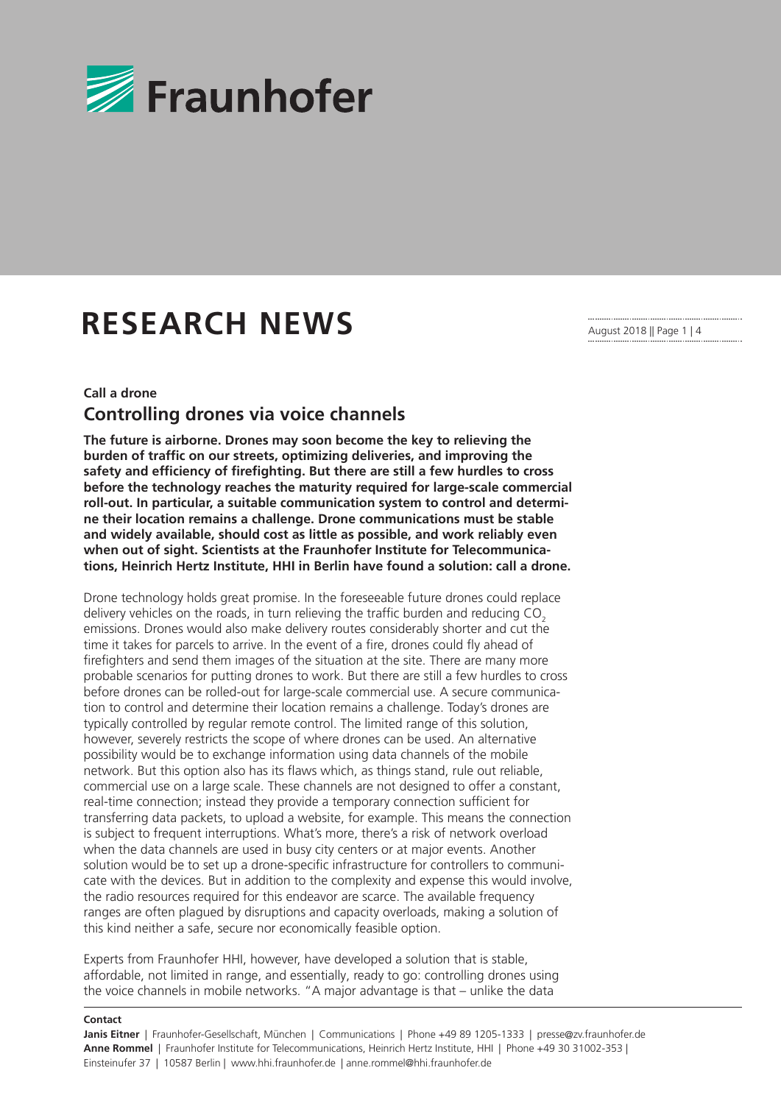

# **RESEARCH NEWS**

August 2018 || Page 1 | 4

# **Call a drone Controlling drones via voice channels**

**The future is airborne. Drones may soon become the key to relieving the burden of traffic on our streets, optimizing deliveries, and improving the safety and efficiency of firefighting. But there are still a few hurdles to cross before the technology reaches the maturity required for large-scale commercial roll-out. In particular, a suitable communication system to control and determine their location remains a challenge. Drone communications must be stable and widely available, should cost as little as possible, and work reliably even when out of sight. Scientists at the Fraunhofer Institute for Telecommunications, Heinrich Hertz Institute, HHI in Berlin have found a solution: call a drone.**

Drone technology holds great promise. In the foreseeable future drones could replace delivery vehicles on the roads, in turn relieving the traffic burden and reducing CO<sub>2</sub> emissions. Drones would also make delivery routes considerably shorter and cut the time it takes for parcels to arrive. In the event of a fire, drones could fly ahead of firefighters and send them images of the situation at the site. There are many more probable scenarios for putting drones to work. But there are still a few hurdles to cross before drones can be rolled-out for large-scale commercial use. A secure communication to control and determine their location remains a challenge. Today's drones are typically controlled by regular remote control. The limited range of this solution, however, severely restricts the scope of where drones can be used. An alternative possibility would be to exchange information using data channels of the mobile network. But this option also has its flaws which, as things stand, rule out reliable, commercial use on a large scale. These channels are not designed to offer a constant, real-time connection; instead they provide a temporary connection sufficient for transferring data packets, to upload a website, for example. This means the connection is subject to frequent interruptions. What's more, there's a risk of network overload when the data channels are used in busy city centers or at major events. Another solution would be to set up a drone-specific infrastructure for controllers to communicate with the devices. But in addition to the complexity and expense this would involve, the radio resources required for this endeavor are scarce. The available frequency ranges are often plagued by disruptions and capacity overloads, making a solution of this kind neither a safe, secure nor economically feasible option.

Experts from Fraunhofer HHI, however, have developed a solution that is stable, affordable, not limited in range, and essentially, ready to go: controlling drones using the voice channels in mobile networks. "A major advantage is that – unlike the data

#### **Contact**

**Janis Eitner** | Fraunhofer-Gesellschaft, München | Communications | Phone +49 89 1205-1333 | presse@zv.fraunhofer.de **Anne Rommel** | Fraunhofer Institute for Telecommunications, Heinrich Hertz Institute, HHI | Phone +49 30 31002-353 | Einsteinufer 37 | 10587 Berlin | www.hhi.fraunhofer.de | anne.rommel@hhi.fraunhofer.de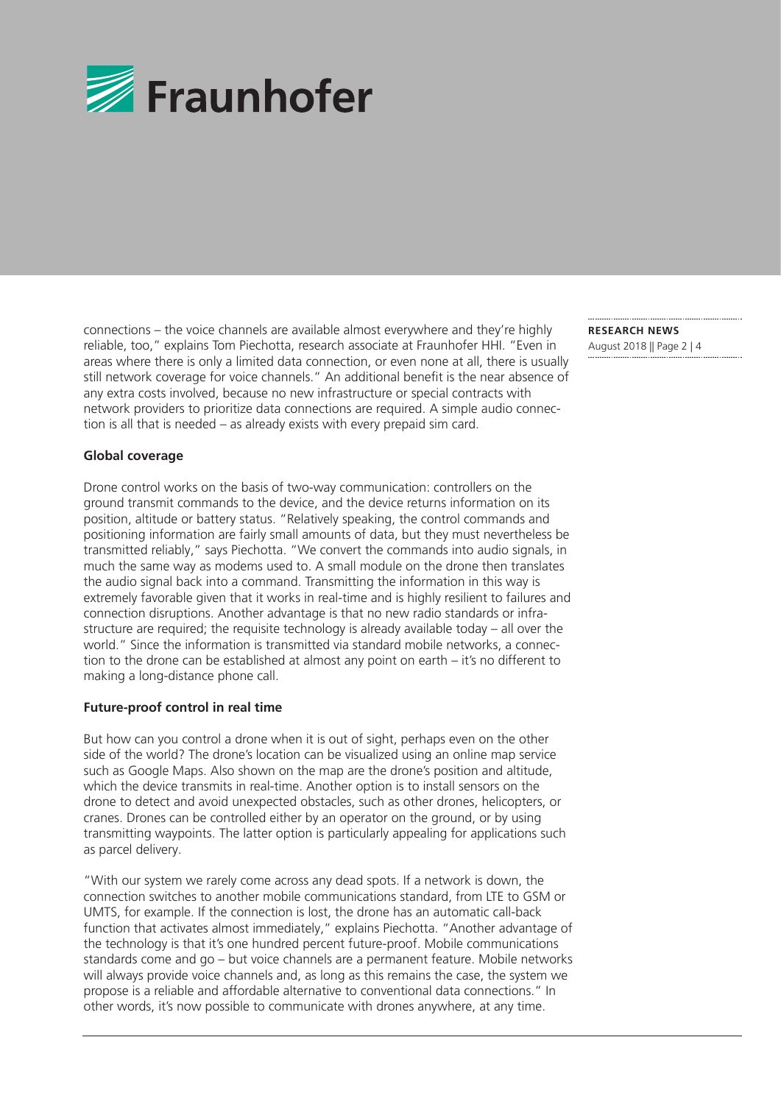

connections – the voice channels are available almost everywhere and they're highly reliable, too," explains Tom Piechotta, research associate at Fraunhofer HHI. "Even in areas where there is only a limited data connection, or even none at all, there is usually still network coverage for voice channels." An additional benefit is the near absence of any extra costs involved, because no new infrastructure or special contracts with network providers to prioritize data connections are required. A simple audio connection is all that is needed – as already exists with every prepaid sim card.

## **Global coverage**

Drone control works on the basis of two-way communication: controllers on the ground transmit commands to the device, and the device returns information on its position, altitude or battery status. "Relatively speaking, the control commands and positioning information are fairly small amounts of data, but they must nevertheless be transmitted reliably," says Piechotta. "We convert the commands into audio signals, in much the same way as modems used to. A small module on the drone then translates the audio signal back into a command. Transmitting the information in this way is extremely favorable given that it works in real-time and is highly resilient to failures and connection disruptions. Another advantage is that no new radio standards or infrastructure are required; the requisite technology is already available today – all over the world." Since the information is transmitted via standard mobile networks, a connection to the drone can be established at almost any point on earth – it's no different to making a long-distance phone call.

## **Future-proof control in real time**

But how can you control a drone when it is out of sight, perhaps even on the other side of the world? The drone's location can be visualized using an online map service such as Google Maps. Also shown on the map are the drone's position and altitude, which the device transmits in real-time. Another option is to install sensors on the drone to detect and avoid unexpected obstacles, such as other drones, helicopters, or cranes. Drones can be controlled either by an operator on the ground, or by using transmitting waypoints. The latter option is particularly appealing for applications such as parcel delivery.

"With our system we rarely come across any dead spots. If a network is down, the connection switches to another mobile communications standard, from LTE to GSM or UMTS, for example. If the connection is lost, the drone has an automatic call-back function that activates almost immediately," explains Piechotta. "Another advantage of the technology is that it's one hundred percent future-proof. Mobile communications standards come and go – but voice channels are a permanent feature. Mobile networks will always provide voice channels and, as long as this remains the case, the system we propose is a reliable and affordable alternative to conventional data connections." In other words, it's now possible to communicate with drones anywhere, at any time.

**RESEARCH NEWS**  August 2018 || Page 2 | 4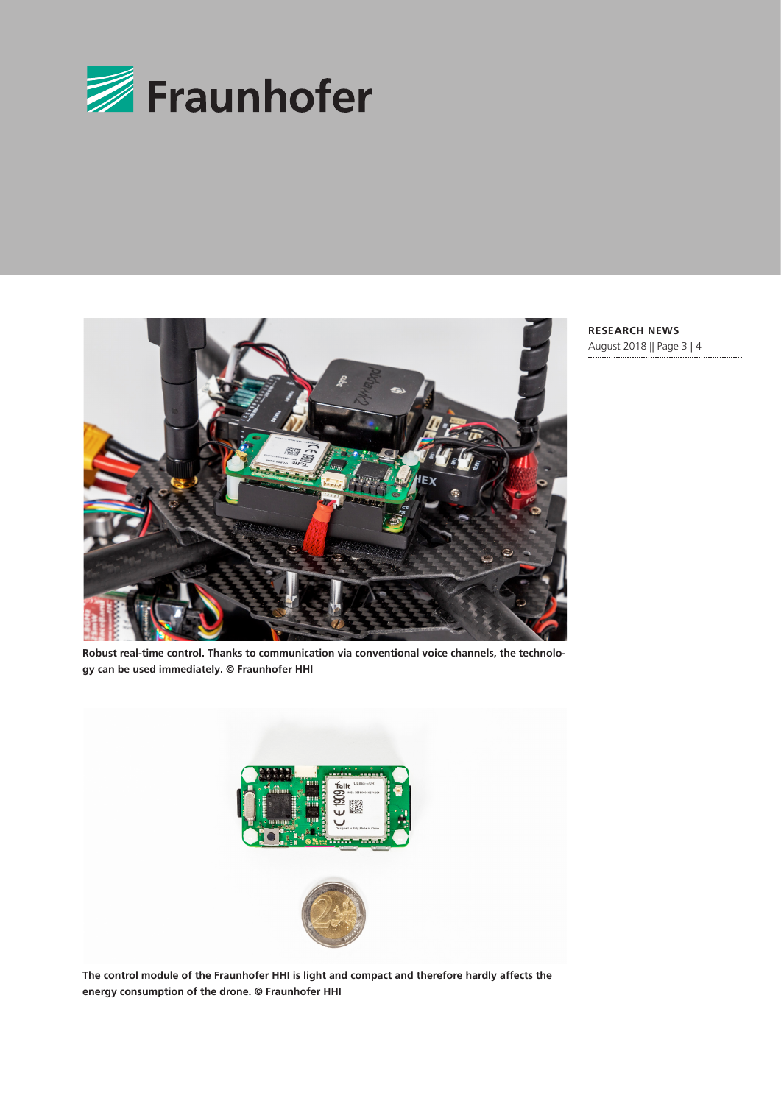



**RESEARCH NEWS**  August 2018 || Page 3 | 4

**Robust real-time control. Thanks to communication via conventional voice channels, the technology can be used immediately. © Fraunhofer HHI**



**The control module of the Fraunhofer HHI is light and compact and therefore hardly affects the energy consumption of the drone. © Fraunhofer HHI**